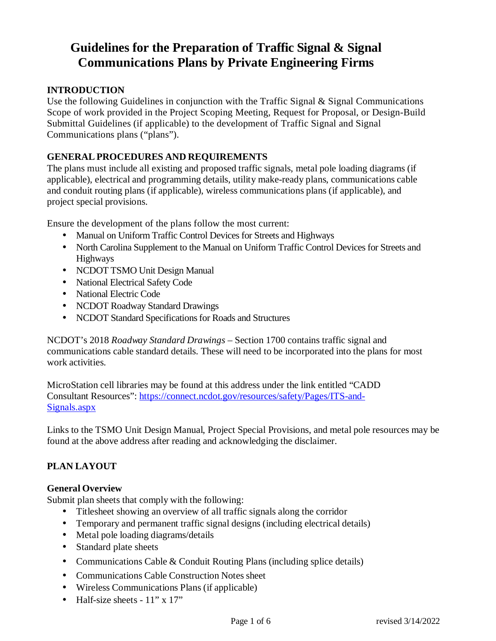# **Guidelines for the Preparation of Traffic Signal & Signal Communications Plans by Private Engineering Firms**

## **INTRODUCTION**

Use the following Guidelines in conjunction with the Traffic Signal & Signal Communications Scope of work provided in the Project Scoping Meeting, Request for Proposal, or Design-Build Submittal Guidelines (if applicable) to the development of Traffic Signal and Signal Communications plans ("plans").

## **GENERAL PROCEDURES AND REQUIREMENTS**

The plans must include all existing and proposed traffic signals, metal pole loading diagrams (if applicable), electrical and programming details, utility make-ready plans, communications cable and conduit routing plans (if applicable), wireless communications plans (if applicable), and project special provisions.

Ensure the development of the plans follow the most current:

- Manual on Uniform Traffic Control Devices for Streets and Highways
- North Carolina Supplement to the Manual on Uniform Traffic Control Devices for Streets and Highways
- NCDOT TSMO Unit Design Manual
- National Electrical Safety Code
- National Electric Code
- NCDOT Roadway Standard Drawings
- NCDOT Standard Specifications for Roads and Structures

NCDOT's 2018 *Roadway Standard Drawings* – Section 1700 contains traffic signal and communications cable standard details. These will need to be incorporated into the plans for most work activities.

MicroStation cell libraries may be found at this address under the link entitled "CADD Consultant Resources": https://connect.ncdot.gov/resources/safety/Pages/ITS-and-Signals.aspx

Links to the TSMO Unit Design Manual, Project Special Provisions, and metal pole resources may be found at the above address after reading and acknowledging the disclaimer.

# **PLAN LAYOUT**

## **General Overview**

Submit plan sheets that comply with the following:

- Titlesheet showing an overview of all traffic signals along the corridor
- Temporary and permanent traffic signal designs (including electrical details)
- Metal pole loading diagrams/details
- Standard plate sheets
- Communications Cable & Conduit Routing Plans (including splice details)
- Communications Cable Construction Notes sheet
- Wireless Communications Plans (if applicable)
- Half-size sheets  $11$ " x  $17$ "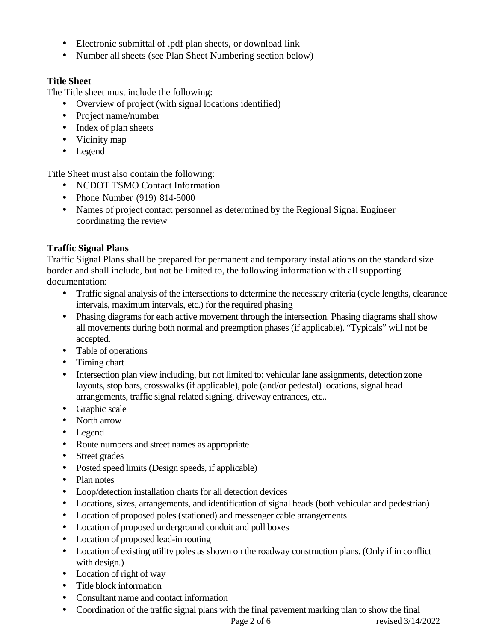- Electronic submittal of .pdf plan sheets, or download link
- Number all sheets (see Plan Sheet Numbering section below)

## **Title Sheet**

The Title sheet must include the following:

- Overview of project (with signal locations identified)
- Project name/number
- Index of plan sheets
- Vicinity map
- Legend

Title Sheet must also contain the following:

- NCDOT TSMO Contact Information
- Phone Number (919) 814-5000
- Names of project contact personnel as determined by the Regional Signal Engineer coordinating the review

# **Traffic Signal Plans**

Traffic Signal Plans shall be prepared for permanent and temporary installations on the standard size border and shall include, but not be limited to, the following information with all supporting documentation:

- Traffic signal analysis of the intersections to determine the necessary criteria (cycle lengths, clearance intervals, maximum intervals, etc.) for the required phasing
- Phasing diagrams for each active movement through the intersection. Phasing diagrams shall show all movements during both normal and preemption phases (if applicable). "Typicals" will not be accepted.
- Table of operations
- Timing chart
- Intersection plan view including, but not limited to: vehicular lane assignments, detection zone layouts, stop bars, crosswalks (if applicable), pole (and/or pedestal) locations, signal head arrangements, traffic signal related signing, driveway entrances, etc..
- Graphic scale
- North arrow
- Legend
- Route numbers and street names as appropriate
- Street grades
- Posted speed limits (Design speeds, if applicable)
- Plan notes
- Loop/detection installation charts for all detection devices
- Locations, sizes, arrangements, and identification of signal heads (both vehicular and pedestrian)
- Location of proposed poles (stationed) and messenger cable arrangements
- Location of proposed underground conduit and pull boxes
- Location of proposed lead-in routing
- Location of existing utility poles as shown on the roadway construction plans. (Only if in conflict with design.)
- Location of right of way
- Title block information
- Consultant name and contact information
- Coordination of the traffic signal plans with the final pavement marking plan to show the final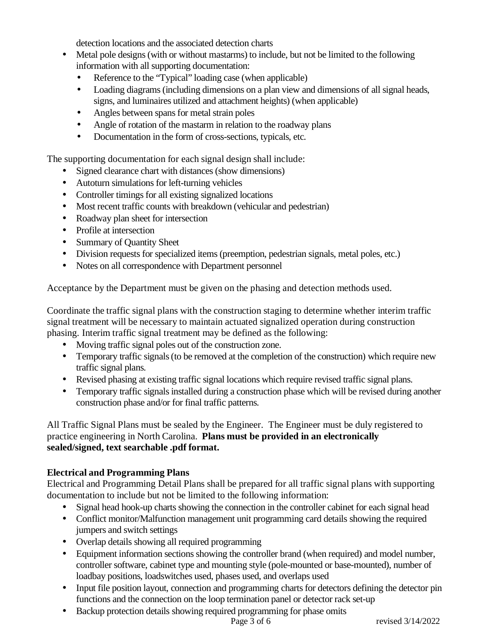detection locations and the associated detection charts

- Metal pole designs (with or without mastarms) to include, but not be limited to the following information with all supporting documentation:
	- Reference to the "Typical" loading case (when applicable)
	- Loading diagrams (including dimensions on a plan view and dimensions of all signal heads, signs, and luminaires utilized and attachment heights) (when applicable)
	- Angles between spans for metal strain poles
	- Angle of rotation of the mastarm in relation to the roadway plans
	- Documentation in the form of cross-sections, typicals, etc.

The supporting documentation for each signal design shall include:

- Signed clearance chart with distances (show dimensions)
- Autoturn simulations for left-turning vehicles
- Controller timings for all existing signalized locations
- Most recent traffic counts with breakdown (vehicular and pedestrian)
- Roadway plan sheet for intersection
- Profile at intersection
- Summary of Quantity Sheet
- Division requests for specialized items (preemption, pedestrian signals, metal poles, etc.)
- Notes on all correspondence with Department personnel

Acceptance by the Department must be given on the phasing and detection methods used.

Coordinate the traffic signal plans with the construction staging to determine whether interim traffic signal treatment will be necessary to maintain actuated signalized operation during construction phasing. Interim traffic signal treatment may be defined as the following:

- Moving traffic signal poles out of the construction zone.
- Temporary traffic signals (to be removed at the completion of the construction) which require new traffic signal plans.
- Revised phasing at existing traffic signal locations which require revised traffic signal plans.
- Temporary traffic signals installed during a construction phase which will be revised during another construction phase and/or for final traffic patterns.

All Traffic Signal Plans must be sealed by the Engineer. The Engineer must be duly registered to practice engineering in North Carolina. **Plans must be provided in an electronically sealed/signed, text searchable .pdf format.**

## **Electrical and Programming Plans**

Electrical and Programming Detail Plans shall be prepared for all traffic signal plans with supporting documentation to include but not be limited to the following information:

- Signal head hook-up charts showing the connection in the controller cabinet for each signal head
- Conflict monitor/Malfunction management unit programming card details showing the required jumpers and switch settings
- Overlap details showing all required programming
- Equipment information sections showing the controller brand (when required) and model number, controller software, cabinet type and mounting style (pole-mounted or base-mounted), number of loadbay positions, loadswitches used, phases used, and overlaps used
- Input file position layout, connection and programming charts for detectors defining the detector pin functions and the connection on the loop termination panel or detector rack set-up
- Backup protection details showing required programming for phase omits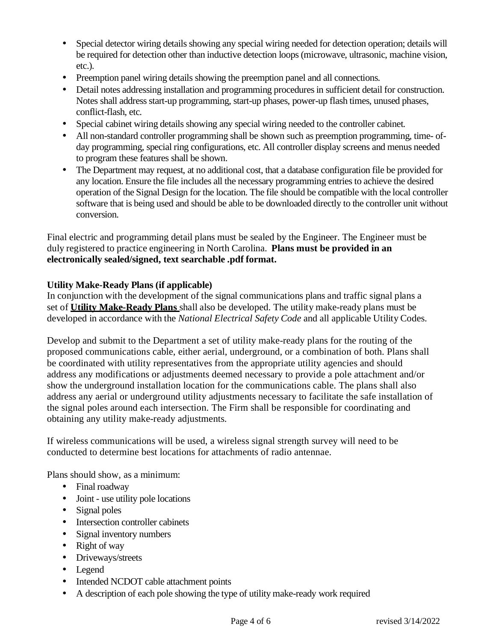- Special detector wiring details showing any special wiring needed for detection operation; details will be required for detection other than inductive detection loops (microwave, ultrasonic, machine vision, etc.).
- Preemption panel wiring details showing the preemption panel and all connections.
- Detail notes addressing installation and programming procedures in sufficient detail for construction. Notes shall address start-up programming, start-up phases, power-up flash times, unused phases, conflict-flash, etc.
- Special cabinet wiring details showing any special wiring needed to the controller cabinet.
- All non-standard controller programming shall be shown such as preemption programming, time- ofday programming, special ring configurations, etc. All controller display screens and menus needed to program these features shall be shown.
- The Department may request, at no additional cost, that a database configuration file be provided for any location. Ensure the file includes all the necessary programming entries to achieve the desired operation of the Signal Design for the location. The file should be compatible with the local controller software that is being used and should be able to be downloaded directly to the controller unit without conversion.

Final electric and programming detail plans must be sealed by the Engineer. The Engineer must be duly registered to practice engineering in North Carolina. **Plans must be provided in an electronically sealed/signed, text searchable .pdf format.**

## **Utility Make-Ready Plans (if applicable)**

In conjunction with the development of the signal communications plans and traffic signal plans a set of **Utility Make-Ready Plans** shall also be developed. The utility make-ready plans must be developed in accordance with the *National Electrical Safety Code* and all applicable Utility Codes.

Develop and submit to the Department a set of utility make-ready plans for the routing of the proposed communications cable, either aerial, underground, or a combination of both. Plans shall be coordinated with utility representatives from the appropriate utility agencies and should address any modifications or adjustments deemed necessary to provide a pole attachment and/or show the underground installation location for the communications cable. The plans shall also address any aerial or underground utility adjustments necessary to facilitate the safe installation of the signal poles around each intersection. The Firm shall be responsible for coordinating and obtaining any utility make-ready adjustments.

If wireless communications will be used, a wireless signal strength survey will need to be conducted to determine best locations for attachments of radio antennae.

Plans should show, as a minimum:

- Final roadway
- Joint use utility pole locations
- Signal poles
- Intersection controller cabinets
- Signal inventory numbers
- Right of way
- Driveways/streets
- Legend
- Intended NCDOT cable attachment points
- A description of each pole showing the type of utility make-ready work required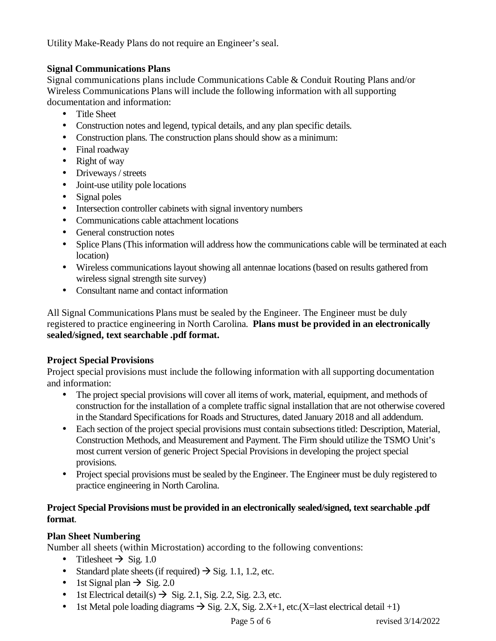Utility Make-Ready Plans do not require an Engineer's seal.

## **Signal Communications Plans**

Signal communications plans include Communications Cable & Conduit Routing Plans and/or Wireless Communications Plans will include the following information with all supporting documentation and information:

- Title Sheet
- Construction notes and legend, typical details, and any plan specific details.
- Construction plans. The construction plans should show as a minimum:
- Final roadway
- Right of way
- Driveways / streets
- Joint-use utility pole locations
- Signal poles
- Intersection controller cabinets with signal inventory numbers
- Communications cable attachment locations
- General construction notes
- Splice Plans (This information will address how the communications cable will be terminated at each location)
- Wireless communications layout showing all antennae locations (based on results gathered from wireless signal strength site survey)
- Consultant name and contact information

All Signal Communications Plans must be sealed by the Engineer. The Engineer must be duly registered to practice engineering in North Carolina. **Plans must be provided in an electronically sealed/signed, text searchable .pdf format.**

## **Project Special Provisions**

Project special provisions must include the following information with all supporting documentation and information:

- The project special provisions will cover all items of work, material, equipment, and methods of construction for the installation of a complete traffic signal installation that are not otherwise covered in the Standard Specifications for Roads and Structures, dated January 2018 and all addendum.
- Each section of the project special provisions must contain subsections titled: Description, Material, Construction Methods, and Measurement and Payment. The Firm should utilize the TSMO Unit's most current version of generic Project Special Provisions in developing the project special provisions.
- Project special provisions must be sealed by the Engineer. The Engineer must be duly registered to practice engineering in North Carolina.

## **Project Special Provisions must be provided in an electronically sealed/signed, text searchable .pdf format**.

# **Plan Sheet Numbering**

Number all sheets (within Microstation) according to the following conventions:

- Titlesheet  $\rightarrow$  Sig. 1.0
- Standard plate sheets (if required)  $\rightarrow$  Sig. 1.1, 1.2, etc.
- 1st Signal plan  $\rightarrow$  Sig. 2.0
- 1st Electrical detail(s)  $\rightarrow$  Sig. 2.1, Sig. 2.2, Sig. 2.3, etc.
- 1st Metal pole loading diagrams  $\rightarrow$  Sig. 2.X, Sig. 2.X+1, etc.(X=last electrical detail +1)